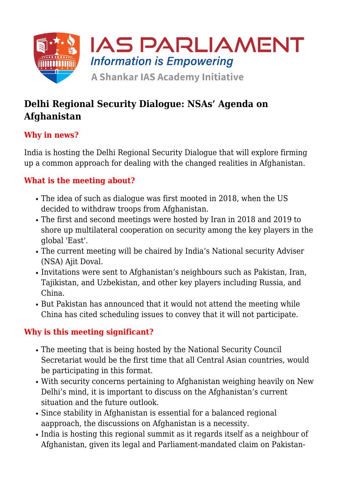

# **Delhi Regional Security Dialogue: NSAs' Agenda on Afghanistan**

# **Why in news?**

India is hosting the Delhi Regional Security Dialogue that will explore firming up a common approach for dealing with the changed realities in Afghanistan.

# **What is the meeting about?**

- The idea of such as dialogue was first mooted in 2018, when the US decided to withdraw troops from Afghanistan.
- The first and second meetings were hosted by Iran in 2018 and 2019 to shore up multilateral cooperation on security among the key players in the global 'East'.
- The current meeting will be chaired by India's National security Adviser (NSA) Ajit Doval.
- Invitations were sent to Afghanistan's neighbours such as Pakistan, Iran, Tajikistan, and Uzbekistan, and other key players including Russia, and China.
- But Pakistan has announced that it would not attend the meeting while China has cited scheduling issues to convey that it will not participate.

## **Why is this meeting significant?**

- The meeting that is being hosted by the National Security Council Secretariat would be the first time that all Central Asian countries, would be participating in this format.
- With security concerns pertaining to Afghanistan weighing heavily on New Delhi's mind, it is important to discuss on the Afghanistan's current situation and the future outlook.
- Since stability in Afghanistan is essential for a balanced regional aapproach, the discussions on Afghanistan is a necessity.
- India is hosting this regional summit as it regards itself as a neighbour of Afghanistan, given its legal and Parliament-mandated claim on Pakistan-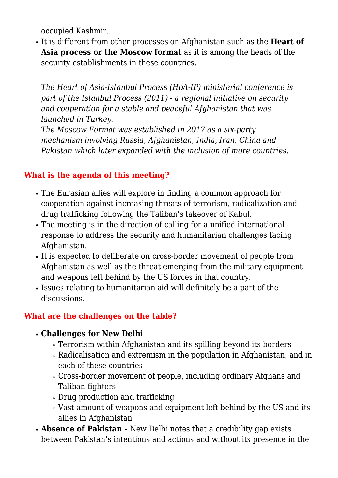occupied Kashmir.

It is different from other processes on Afghanistan such as the **Heart of Asia process or the Moscow format** as it is among the heads of the security establishments in these countries.

*The Heart of Asia-Istanbul Process (HoA-IP) ministerial conference is part of the Istanbul Process (2011) - a regional initiative on security and cooperation for a stable and peaceful Afghanistan that was launched in Turkey.*

*The Moscow Format was established in 2017 as a six-party mechanism involving Russia, Afghanistan, India, Iran, China and Pakistan which later expanded with the inclusion of more countries.*

# **What is the agenda of this meeting?**

- The Eurasian allies will explore in finding a common approach for cooperation against increasing threats of terrorism, radicalization and drug trafficking following the Taliban's takeover of Kabul.
- The meeting is in the direction of calling for a unified international response to address the security and humanitarian challenges facing Afghanistan.
- If is expected to deliberate on cross-border movement of people from Afghanistan as well as the threat emerging from the military equipment and weapons left behind by the US forces in that country.
- Issues relating to humanitarian aid will definitely be a part of the discussions.

## **What are the challenges on the table?**

#### **Challenges for New Delhi**

- Terrorism within Afghanistan and its spilling beyond its borders
- Radicalisation and extremism in the population in Afghanistan, and in each of these countries
- Cross-border movement of people, including ordinary Afghans and Taliban fighters
- Drug production and trafficking
- Vast amount of weapons and equipment left behind by the US and its allies in Afghanistan
- **Absence of Pakistan** New Delhi notes that a credibility gap exists between Pakistan's intentions and actions and without its presence in the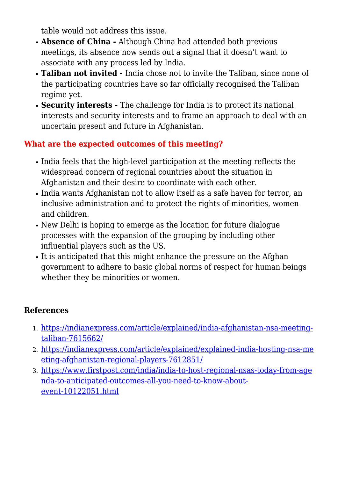table would not address this issue.

- **Absence of China** Although China had attended both previous meetings, its absence now sends out a signal that it doesn't want to associate with any process led by India.
- **Taliban not invited** India chose not to invite the Taliban, since none of the participating countries have so far officially recognised the Taliban regime yet.
- **Security interests** The challenge for India is to protect its national interests and security interests and to frame an approach to deal with an uncertain present and future in Afghanistan.

## **What are the expected outcomes of this meeting?**

- India feels that the high-level participation at the meeting reflects the widespread concern of regional countries about the situation in Afghanistan and their desire to coordinate with each other.
- India wants Afghanistan not to allow itself as a safe haven for terror, an inclusive administration and to protect the rights of minorities, women and children.
- New Delhi is hoping to emerge as the location for future dialogue processes with the expansion of the grouping by including other influential players such as the US.
- It is anticipated that this might enhance the pressure on the Afghan government to adhere to basic global norms of respect for human beings whether they be minorities or women.

## **References**

- 1. [https://indianexpress.com/article/explained/india-afghanistan-nsa-meeting](https://indianexpress.com/article/explained/india-afghanistan-nsa-meeting-taliban-7615662/)[taliban-7615662/](https://indianexpress.com/article/explained/india-afghanistan-nsa-meeting-taliban-7615662/)
- 2. [https://indianexpress.com/article/explained/explained-india-hosting-nsa-me](https://indianexpress.com/article/explained/explained-india-hosting-nsa-meeting-afghanistan-regional-players-7612851/) [eting-afghanistan-regional-players-7612851/](https://indianexpress.com/article/explained/explained-india-hosting-nsa-meeting-afghanistan-regional-players-7612851/)
- 3. [https://www.firstpost.com/india/india-to-host-regional-nsas-today-from-age](https://www.firstpost.com/india/india-to-host-regional-nsas-today-from-agenda-to-anticipated-outcomes-all-you-need-to-know-about-event-10122051.html) [nda-to-anticipated-outcomes-all-you-need-to-know-about](https://www.firstpost.com/india/india-to-host-regional-nsas-today-from-agenda-to-anticipated-outcomes-all-you-need-to-know-about-event-10122051.html)[event-10122051.html](https://www.firstpost.com/india/india-to-host-regional-nsas-today-from-agenda-to-anticipated-outcomes-all-you-need-to-know-about-event-10122051.html)